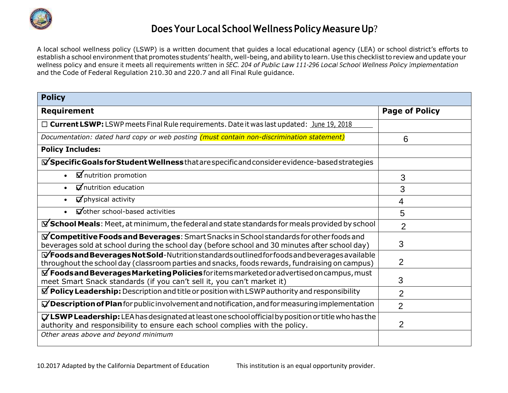

# **Does Your Local School Wellness Policy Measure Up?**

A local school wellness policy (LSWP) is a written document that guides a local educational agency (LEA) or school district's efforts to establish a school environment that promotes students' health, well-being, and ability to learn. Use this checklist to review and update your wellness policy and ensure it meets all requirements written in *SEC. 204 of Public Law 111-296 Local School Wellness Policy Implementation*  and the Code of Federal Regulation 210.30 and 220.7 and all Final Rule guidance.

| <b>Policy</b>                                                                                                                                                                                                   |                       |
|-----------------------------------------------------------------------------------------------------------------------------------------------------------------------------------------------------------------|-----------------------|
| <b>Requirement</b>                                                                                                                                                                                              | <b>Page of Policy</b> |
| $\Box$ Current LSWP: LSWP meets Final Rule requirements. Date it was last updated: June 19, 2018                                                                                                                |                       |
| Documentation: dated hard copy or web posting (must contain non-discrimination statement)                                                                                                                       | 6                     |
| <b>Policy Includes:</b>                                                                                                                                                                                         |                       |
| $\mathbf{\nabla}$ Specific Goals for Student Wellness that are specific and consider evidence-based strategies                                                                                                  |                       |
| $\boxtimes$ nutrition promotion                                                                                                                                                                                 | 3                     |
| $\triangledown$ nutrition education                                                                                                                                                                             | 3                     |
| $\nabla$ physical activity                                                                                                                                                                                      | $\overline{4}$        |
| Vother school-based activities                                                                                                                                                                                  | 5                     |
| $\mathbb X$ School Meals: Meet, at minimum, the federal and state standards for meals provided by school                                                                                                        | $\overline{2}$        |
| $\Delta$ Competitive Foods and Beverages: Smart Snacks in School standards for other foods and<br>beverages sold at school during the school day (before school and 30 minutes after school day)                | 3                     |
| $\mathbf{\nabla}$ Foods and Beverages Not Sold-Nutrition standards outlined for foods and beverages available<br>throughout the school day (classroom parties and snacks, foods rewards, fundraising on campus) | 2                     |
| $\Delta$ Foods and Beverages Marketing Policies for items marketed or advertised on campus, must<br>meet Smart Snack standards (if you can't sell it, you can't market it)                                      | 3                     |
| $\Delta$ Policy Leadership: Description and title or position with LSWP authority and responsibility                                                                                                            | $\overline{2}$        |
| $\nabla$ Description of Plan for public involvement and notification, and for measuring implementation                                                                                                          | $\overline{2}$        |
| $\nabla$ LSWP Leadership: LEA has designated at least one school official by position or title who has the<br>authority and responsibility to ensure each school complies with the policy.                      | 2                     |
| Other areas above and beyond minimum                                                                                                                                                                            |                       |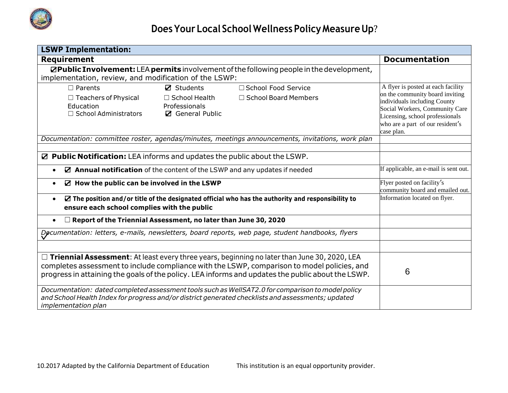

| <b>LSWP Implementation:</b>                                                                                                                             |                                                                            |                                                                                                                                                                                                                                                                                                         |                                                                                                                                                                                                                              |  |
|---------------------------------------------------------------------------------------------------------------------------------------------------------|----------------------------------------------------------------------------|---------------------------------------------------------------------------------------------------------------------------------------------------------------------------------------------------------------------------------------------------------------------------------------------------------|------------------------------------------------------------------------------------------------------------------------------------------------------------------------------------------------------------------------------|--|
| <b>Requirement</b>                                                                                                                                      |                                                                            |                                                                                                                                                                                                                                                                                                         | <b>Documentation</b>                                                                                                                                                                                                         |  |
| implementation, review, and modification of the LSWP:                                                                                                   |                                                                            | <b>ØPublic Involvement:</b> LEA permits involvement of the following people in the development,                                                                                                                                                                                                         |                                                                                                                                                                                                                              |  |
| $\Box$ Parents<br>$\Box$ Teachers of Physical<br>Education<br>□ School Administrators                                                                   | $\boxtimes$ Students<br>□ School Health<br>Professionals<br>General Public | □ School Food Service<br>□ School Board Members                                                                                                                                                                                                                                                         | A flyer is posted at each facility<br>on the community board inviting<br>individuals including County<br>Social Workers, Community Care<br>Licensing, school professionals<br>who are a part of our resident's<br>case plan. |  |
|                                                                                                                                                         |                                                                            | Documentation: committee roster, agendas/minutes, meetings announcements, invitations, work plan                                                                                                                                                                                                        |                                                                                                                                                                                                                              |  |
| ☑ Public Notification: LEA informs and updates the public about the LSWP.<br>⊠ Annual notification of the content of the LSWP and any updates if needed |                                                                            |                                                                                                                                                                                                                                                                                                         | If applicable, an e-mail is sent out.                                                                                                                                                                                        |  |
| $\boxtimes$ How the public can be involved in the LSWP                                                                                                  |                                                                            |                                                                                                                                                                                                                                                                                                         | Flyer posted on facility's<br>community board and emailed out.                                                                                                                                                               |  |
| $\bullet$<br>ensure each school complies with the public                                                                                                |                                                                            | $\mathbf Z$ The position and/or title of the designated official who has the authority and responsibility to                                                                                                                                                                                            | Information located on flyer.                                                                                                                                                                                                |  |
| $\Box$ Report of the Triennial Assessment, no later than June 30, 2020                                                                                  |                                                                            |                                                                                                                                                                                                                                                                                                         |                                                                                                                                                                                                                              |  |
|                                                                                                                                                         |                                                                            | Documentation: letters, e-mails, newsletters, board reports, web page, student handbooks, flyers                                                                                                                                                                                                        |                                                                                                                                                                                                                              |  |
|                                                                                                                                                         |                                                                            | $\Box$ Triennial Assessment: At least every three years, beginning no later than June 30, 2020, LEA<br>completes assessment to include compliance with the LSWP, comparison to model policies, and<br>progress in attaining the goals of the policy. LEA informs and updates the public about the LSWP. | 6                                                                                                                                                                                                                            |  |
| <i>implementation plan</i>                                                                                                                              |                                                                            | Documentation: dated completed assessment tools such as WellSAT2.0 for comparison to model policy<br>and School Health Index for progress and/or district generated checklists and assessments; updated                                                                                                 |                                                                                                                                                                                                                              |  |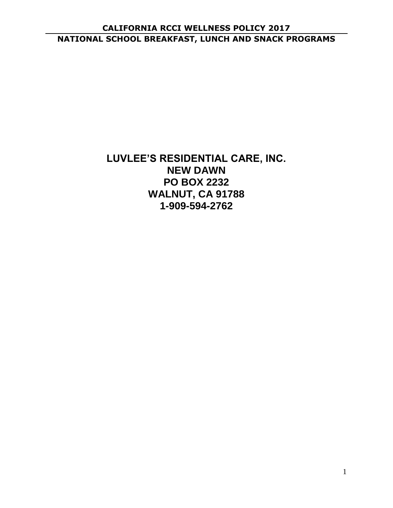## **CALIFORNIA RCCI WELLNESS POLICY 2017 NATIONAL SCHOOL BREAKFAST, LUNCH AND SNACK PROGRAMS**

# **LUVLEE'S RESIDENTIAL CARE, INC. NEW DAWN PO BOX 2232 WALNUT, CA 91788 1-909-594-2762**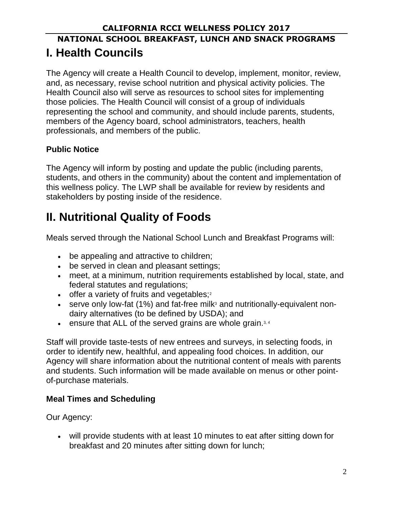# **NATIONAL SCHOOL BREAKFAST, LUNCH AND SNACK PROGRAMS I. Health Councils**

The Agency will create a Health Council to develop, implement, monitor, review, and, as necessary, revise school nutrition and physical activity policies. The Health Council also will serve as resources to school sites for implementing those policies. The Health Council will consist of a group of individuals representing the school and community, and should include parents, students, members of the Agency board, school administrators, teachers, health professionals, and members of the public.

### **Public Notice**

The Agency will inform by posting and update the public (including parents, students, and others in the community) about the content and implementation of this wellness policy. The LWP shall be available for review by residents and stakeholders by posting inside of the residence.

# **II. Nutritional Quality of Foods**

Meals served through the National School Lunch and Breakfast Programs will:

- be appealing and attractive to children;
- be served in clean and pleasant settings;
- meet, at a minimum, nutrition requirements established by local, state, and federal statutes and regulations;
- offer a variety of fruits and vegetables;<sup>2</sup>
- serve only low-fat  $(1%)$  and fat-free milk<sup>3</sup> and nutritionally-equivalent nondairy alternatives (to be defined by USDA); and
- ensure that ALL of the served grains are whole grain.<sup>3, 4</sup>

Staff will provide taste-tests of new entrees and surveys, in selecting foods, in order to identify new, healthful, and appealing food choices. In addition, our Agency will share information about the nutritional content of meals with parents and students. Such information will be made available on menus or other pointof-purchase materials.

# **Meal Times and Scheduling**

Our Agency:

• will provide students with at least 10 minutes to eat after sitting down for breakfast and 20 minutes after sitting down for lunch;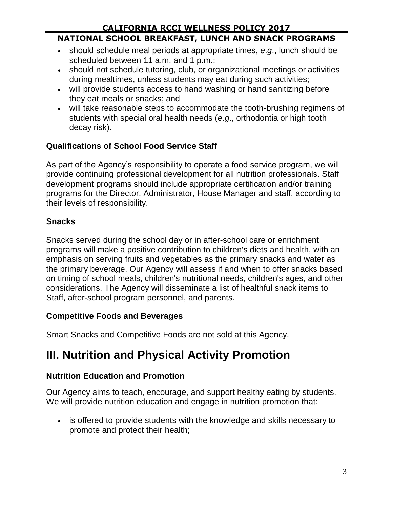## **NATIONAL SCHOOL BREAKFAST, LUNCH AND SNACK PROGRAMS**

- should schedule meal periods at appropriate times, *e*.*g*., lunch should be scheduled between 11 a.m. and 1 p.m.;
- should not schedule tutoring, club, or organizational meetings or activities during mealtimes, unless students may eat during such activities;
- will provide students access to hand washing or hand sanitizing before they eat meals or snacks; and
- will take reasonable steps to accommodate the tooth-brushing regimens of students with special oral health needs (*e*.*g*., orthodontia or high tooth decay risk).

# **Qualifications of School Food Service Staff**

As part of the Agency's responsibility to operate a food service program, we will provide continuing professional development for all nutrition professionals. Staff development programs should include appropriate certification and/or training programs for the Director, Administrator, House Manager and staff, according to their levels of responsibility.

# **Snacks**

Snacks served during the school day or in after-school care or enrichment programs will make a positive contribution to children's diets and health, with an emphasis on serving fruits and vegetables as the primary snacks and water as the primary beverage. Our Agency will assess if and when to offer snacks based on timing of school meals, children's nutritional needs, children's ages, and other considerations. The Agency will disseminate a list of healthful snack items to Staff, after-school program personnel, and parents.

# **Competitive Foods and Beverages**

Smart Snacks and Competitive Foods are not sold at this Agency.

# **III. Nutrition and Physical Activity Promotion**

# **Nutrition Education and Promotion**

Our Agency aims to teach, encourage, and support healthy eating by students. We will provide nutrition education and engage in nutrition promotion that:

• is offered to provide students with the knowledge and skills necessary to promote and protect their health;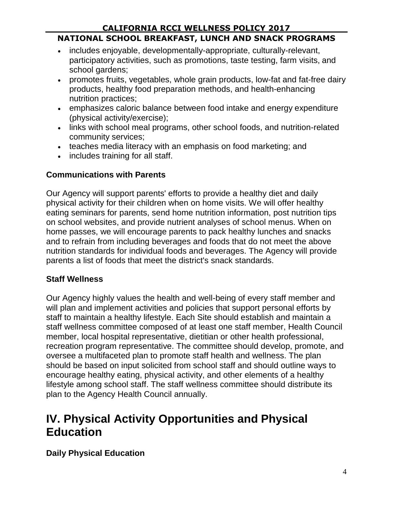#### **NATIONAL SCHOOL BREAKFAST, LUNCH AND SNACK PROGRAMS**

- includes enjoyable, developmentally-appropriate, culturally-relevant, participatory activities, such as promotions, taste testing, farm visits, and school gardens;
- promotes fruits, vegetables, whole grain products, low-fat and fat-free dairy products, healthy food preparation methods, and health-enhancing nutrition practices;
- emphasizes caloric balance between food intake and energy expenditure (physical activity/exercise);
- links with school meal programs, other school foods, and nutrition-related community services;
- teaches media literacy with an emphasis on food marketing; and
- includes training for all staff.

#### **Communications with Parents**

Our Agency will support parents' efforts to provide a healthy diet and daily physical activity for their children when on home visits. We will offer healthy eating seminars for parents, send home nutrition information, post nutrition tips on school websites, and provide nutrient analyses of school menus. When on home passes, we will encourage parents to pack healthy lunches and snacks and to refrain from including beverages and foods that do not meet the above nutrition standards for individual foods and beverages. The Agency will provide parents a list of foods that meet the district's snack standards.

#### **Staff Wellness**

Our Agency highly values the health and well-being of every staff member and will plan and implement activities and policies that support personal efforts by staff to maintain a healthy lifestyle. Each Site should establish and maintain a staff wellness committee composed of at least one staff member, Health Council member, local hospital representative, dietitian or other health professional, recreation program representative. The committee should develop, promote, and oversee a multifaceted plan to promote staff health and wellness. The plan should be based on input solicited from school staff and should outline ways to encourage healthy eating, physical activity, and other elements of a healthy lifestyle among school staff. The staff wellness committee should distribute its plan to the Agency Health Council annually.

# **IV. Physical Activity Opportunities and Physical Education**

**Daily Physical Education**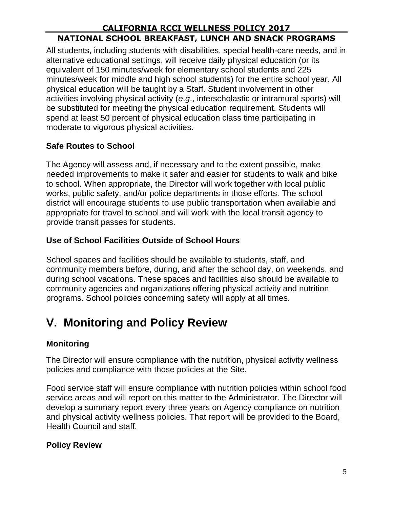### **CALIFORNIA RCCI WELLNESS POLICY 2017 NATIONAL SCHOOL BREAKFAST, LUNCH AND SNACK PROGRAMS**

All students, including students with disabilities, special health-care needs, and in alternative educational settings, will receive daily physical education (or its equivalent of 150 minutes/week for elementary school students and 225 minutes/week for middle and high school students) for the entire school year. All physical education will be taught by a Staff. Student involvement in other activities involving physical activity (*e*.*g*., interscholastic or intramural sports) will be substituted for meeting the physical education requirement. Students will spend at least 50 percent of physical education class time participating in moderate to vigorous physical activities.

# **Safe Routes to School**

The Agency will assess and, if necessary and to the extent possible, make needed improvements to make it safer and easier for students to walk and bike to school. When appropriate, the Director will work together with local public works, public safety, and/or police departments in those efforts. The school district will encourage students to use public transportation when available and appropriate for travel to school and will work with the local transit agency to provide transit passes for students.

## **Use of School Facilities Outside of School Hours**

School spaces and facilities should be available to students, staff, and community members before, during, and after the school day, on weekends, and during school vacations. These spaces and facilities also should be available to community agencies and organizations offering physical activity and nutrition programs. School policies concerning safety will apply at all times.

# **V. Monitoring and Policy Review**

# **Monitoring**

The Director will ensure compliance with the nutrition, physical activity wellness policies and compliance with those policies at the Site.

Food service staff will ensure compliance with nutrition policies within school food service areas and will report on this matter to the Administrator. The Director will develop a summary report every three years on Agency compliance on nutrition and physical activity wellness policies. That report will be provided to the Board, Health Council and staff.

### **Policy Review**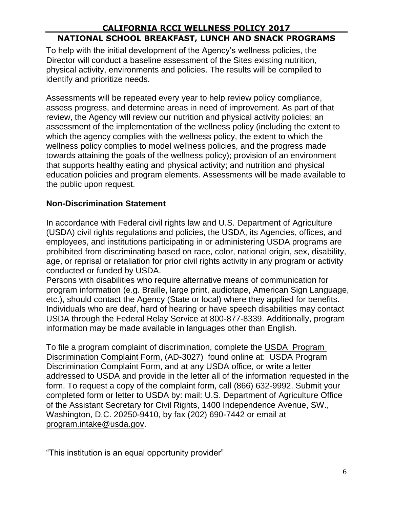### **CALIFORNIA RCCI WELLNESS POLICY 2017 NATIONAL SCHOOL BREAKFAST, LUNCH AND SNACK PROGRAMS**

To help with the initial development of the Agency's wellness policies, the Director will conduct a baseline assessment of the Sites existing nutrition, physical activity, environments and policies. The results will be compiled to identify and prioritize needs.

Assessments will be repeated every year to help review policy compliance, assess progress, and determine areas in need of improvement. As part of that review, the Agency will review our nutrition and physical activity policies; an assessment of the implementation of the wellness policy (including the extent to which the agency complies with the wellness policy, the extent to which the wellness policy complies to model wellness policies, and the progress made towards attaining the goals of the wellness policy); provision of an environment that supports healthy eating and physical activity; and nutrition and physical education policies and program elements. Assessments will be made available to the public upon request.

#### **Non-Discrimination Statement**

In accordance with Federal civil rights law and U.S. Department of Agriculture (USDA) civil rights regulations and policies, the USDA, its Agencies, offices, and employees, and institutions participating in or administering USDA programs are prohibited from discriminating based on race, color, national origin, sex, disability, age, or reprisal or retaliation for prior civil rights activity in any program or activity conducted or funded by USDA.

Persons with disabilities who require alternative means of communication for program information (e.g. Braille, large print, audiotape, American Sign Language, etc.), should contact the Agency (State or local) where they applied for benefits. Individuals who are deaf, hard of hearing or have speech disabilities may contact USDA through the Federal Relay Service at 800-877-8339. Additionally, program information may be made available in languages other than English.

To file a program complaint of discrimination, complete the USDA Program Discrimination Complaint Form, (AD-3027) found online at: USDA Program Discrimination Complaint Form, and at any USDA office, or write a letter addressed to USDA and provide in the letter all of the information requested in the form. To request a copy of the complaint form, call (866) 632-9992. Submit your completed form or letter to USDA by: mail: U.S. Department of Agriculture Office of the Assistant Secretary for Civil Rights, 1400 Independence Avenue, SW., Washington, D.C. 20250-9410, by fax (202) 690-7442 or email at program.intake@usda.gov.

"This institution is an equal opportunity provider"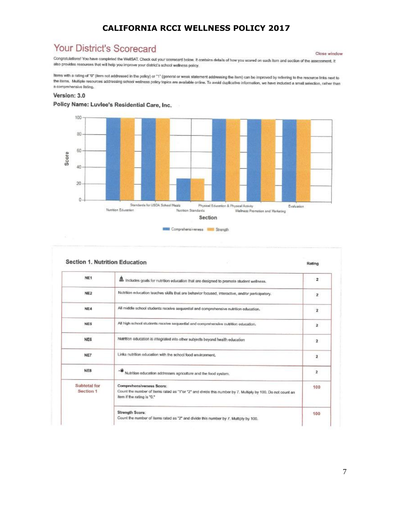# Your District's Scorecard

Close window

Cross wind<br>Congratulations! You have completed the WellSAT. Check out your scorecard below. It contains details of how you scored on each item and section of the assessment. It also provides resources that will help you improve your district's school wellness policy.

Items with a rating of "0" (item not addressed in the policy) or "1" (general or weak statement addressing the item) can be improved by referring to the resource links next to the items. Multiple resources addressing school wellness policy topics are available online. To avoid duplicative information, we have included a small selection, rather than a comprehensive listing.

#### Version: 3.0







|                           | <b>Section 1. Nutrition Education</b>                                                                                                                                | Rating         |
|---------------------------|----------------------------------------------------------------------------------------------------------------------------------------------------------------------|----------------|
| NE1                       | includes goals for nutrition education that are designed to promote student wellness.                                                                                | $\overline{2}$ |
| NE <sub>2</sub>           | Nutrition education teaches skills that are behavior focused, interactive, and/or participatory.                                                                     | $\mathbf{z}$   |
| NE4                       | All middle school students receive sequential and comprehensive nutrition education.                                                                                 | 2              |
| NE5                       | All high school students receive sequential and comprehensive nutrition education.                                                                                   | $\overline{2}$ |
| NE6                       | Nutrition education is integrated into other subjects beyond health education                                                                                        | $\mathbf{2}$   |
| NE7                       | Links nutrition education with the school food environment.                                                                                                          | 2              |
| NE8                       | Nutrition education addresses agriculture and the food system.                                                                                                       | $\mathbf{z}$   |
| Subtotal for<br>Section 1 | Comprehensiveness Score:<br>Count the number of items rated as "1"or "2" and divide this number by 7. Multiply by 100. Do not count an<br>item if the rating is "0." | 100            |
|                           | Strength Score:<br>Count the number of items rated as "2" and divide this number by 7. Multiply by 100.                                                              | 100            |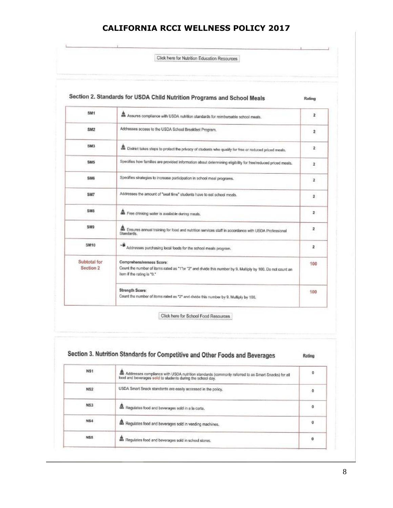Click here for Nutrition Education Resources

 $\mathbf{r}$ 

 $\pm$ 

| SM <sub>1</sub>           | Assures compliance with USDA nutrition standards for reimbursable school meals.                                                                                      | $\mathbf{z}$            |
|---------------------------|----------------------------------------------------------------------------------------------------------------------------------------------------------------------|-------------------------|
| SM <sub>2</sub>           | Addresses access to the USDA School Breakfast Program.                                                                                                               | $\overline{\mathbf{z}}$ |
| <b>SM3</b>                | . District takes steps to protect the privacy of students who qualify for free or reduced priced meals.                                                              | $\overline{2}$          |
| SM <sub>5</sub>           | Specifies how families are provided information about determining eligibility for free/reduced priced meals,                                                         | $\overline{2}$          |
| SM6                       | Specifies strategies to increase participation in school meal programs.                                                                                              | $\overline{2}$          |
| SM7                       | Addresses the amount of "seat time" students have to eat school meals.                                                                                               | $\overline{\mathbf{2}}$ |
| SM <sub>8</sub>           | Free drinking water is available during meals.                                                                                                                       | $\mathbf{z}$            |
| SM <sub>9</sub>           | no Ensures annual training for food and nutrition services staff in accordance with USDA Professional<br>Standards.                                                  | $\overline{\mathbf{z}}$ |
| <b>SM10</b>               | Addresses purchasing local foods for the school meals program.                                                                                                       | $\mathbf{2}$            |
| Subtotal for<br>Section 2 | Comprehensiveness Score:<br>Count the number of items rated as "1"or "2" and divide this number by 9, Multiply by 100. Do not count an<br>item if the rating is "0." | 100                     |
|                           | <b>Strength Score:</b><br>Count the number of items rated as "2" and divide this number by 9. Multiply by 100,                                                       | 100                     |

| NS <sub>1</sub> | 品 Addresses compliance with USDA nutrition standards (commonly referred to as Smart Snacks) for all<br>food and beverages sold to students during the school day, | o         |
|-----------------|-------------------------------------------------------------------------------------------------------------------------------------------------------------------|-----------|
| NS <sub>2</sub> | USDA Smart Snack standards are easily accessed in the policy.                                                                                                     | $\pmb{0}$ |
| NS3             | 皛<br>Regulates food and beverages sold in a la carte.                                                                                                             | o         |
| <b>NS4</b>      | Regulates food and beverages sold in vending machines.                                                                                                            | o         |
| NS5             | 畾<br>Regulates food and beverages sold in school stores.                                                                                                          | 0         |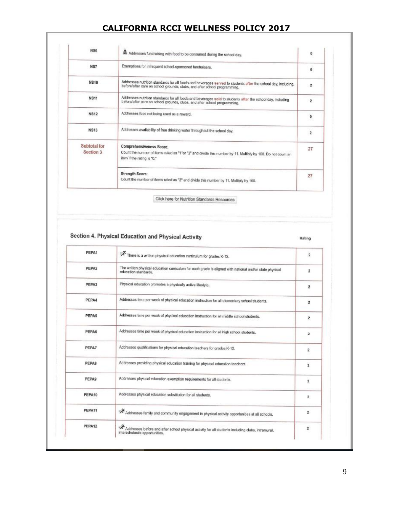| <b>NS6</b>                | Addresses fundraising with food to be consumed during the school day.                                                                                                                      | 0                       |
|---------------------------|--------------------------------------------------------------------------------------------------------------------------------------------------------------------------------------------|-------------------------|
| NS7                       | Exemptions for infrequent school-sponsored fundraisers.                                                                                                                                    | 0                       |
| <b>NS10</b>               | Addresses nutrition standards for all foods and beverages served to students after the school day, including,<br>before/after care on school grounds, clubs, and after school programming. | $\overline{2}$          |
| <b>NS11</b>               | Addresses nutrition standards for all foods and beverages sold to students after the school day, including<br>before/after care on school grounds, clubs, and after school programming.    | $\overline{2}$          |
| <b>NS12</b>               | Addresses food not being used as a reward.                                                                                                                                                 | 0                       |
| <b>NS13</b>               | Addresses availability of free drinking water throughout the school day.                                                                                                                   | $\overline{\mathbf{z}}$ |
| Subtotal for<br>Section 3 | Comprehensiveness Score:<br>Count the number of items rated as "1"or "2" and divide this number by 11. Multiply by 100. Do not count an<br>item if the rating is "0."                      | 27                      |
|                           | Strength Score:<br>Count the number of items rated as "2" and divide this number by 11. Multiply by 100.                                                                                   | 27                      |

Click here for Nutrition Standards Resources

#### Section 4. Physical Education and Physical Activity

#### Rating

| PEPA1        | There is a written physical education curriculum for grades K-12.                                                                   | $\overline{2}$          |
|--------------|-------------------------------------------------------------------------------------------------------------------------------------|-------------------------|
| PEPA2        | The written physical education curriculum for each grade is aligned with national and/or state physical<br>education standards.     | 2                       |
| PEPA3        | Physical education promotes a physically active lifestyle.                                                                          | $\overline{2}$          |
| PEPA4        | Addresses time per week of physical education instruction for all elementary school students.                                       | 2                       |
| PEPA5        | Addresses time per week of physical education instruction for all middle school students.                                           | $\overline{\mathbf{2}}$ |
| PEPA6        | Addresses time per week of physical education instruction for all high school students.                                             | 2                       |
| PEPA7        | Addresses qualifications for physical education teachers for grades K-12.                                                           | 2                       |
| <b>PEPA8</b> | Addresses providing physical education training for physical education teachers.                                                    | 2                       |
| <b>PEPA9</b> | Addresses physical education exemption requirements for all students.                                                               | $\overline{2}$          |
| PEPA10       | Addresses physical education substitution for all students.                                                                         | $\overline{2}$          |
| PEPA11       | A Addresses family and community engagement in physical activity opportunities at all schools.                                      | $\overline{\mathbf{z}}$ |
| PEPA12       | Addresses before and after school physical activity for all students including clubs, intramural,<br>interscholastic opportunities. | $\overline{\mathbf{2}}$ |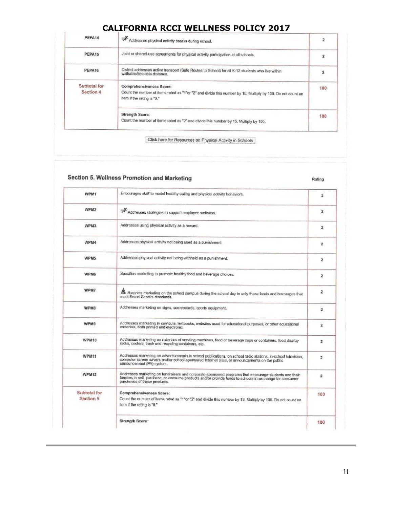| PEPA14                    | Addresses physical activity breaks during school.                                                                                                                     | $\overline{2}$          |
|---------------------------|-----------------------------------------------------------------------------------------------------------------------------------------------------------------------|-------------------------|
| PEPA15                    | Joint or shared-use agreements for physical activity participation at all schools.                                                                                    | $\overline{\mathbf{2}}$ |
| PEPA16                    | District addresses active transport (Safe Routes to School) for all K-12 students who live within<br>walkable/bikeable distance.                                      |                         |
| Subtotal for<br>Section 4 | Comprehensiveness Score:<br>Count the number of items rated as "1"or "2" and divide this number by 15. Multiply by 100. Do not count an<br>item if the rating is "0." | 100                     |
|                           | Strength Score:<br>Count the number of items rated as "2" and divide this number by 15. Multiply by 100.                                                              | 100                     |

Click here for Resources on Physical Activity in Schools

|                           | Section 5. Wellness Promotion and Marketing                                                                                                                                                                                                       | Rating         |
|---------------------------|---------------------------------------------------------------------------------------------------------------------------------------------------------------------------------------------------------------------------------------------------|----------------|
| WPM1                      | Encourages staff to model healthy eating and physical activity behaviors.                                                                                                                                                                         | 2              |
| WPM2                      | Addresses strategies to support employee wellness.                                                                                                                                                                                                | $\overline{2}$ |
| WPM3                      | Addresses using physical activity as a reward.                                                                                                                                                                                                    | $\overline{2}$ |
| WPM4                      | Addresses physical activity not being used as a punishment,                                                                                                                                                                                       | 2              |
| WPM5                      | Addresses physical activity not being withheld as a punishment.                                                                                                                                                                                   | 2              |
| WPM6                      | Specifies marketing to promote healthy food and beverage choices.                                                                                                                                                                                 | 2              |
| WPM7                      | Restricts marketing on the school campus during the school day to only those foods and beverages that<br>meet Smart Snacks standards.                                                                                                             | 2              |
| <b>WPM8</b>               | Addresses marketing on signs, scoreboards, sports equipment.                                                                                                                                                                                      | 2              |
| <b>WPM9</b>               | Addresses marketing in curricula, textbooks, websites used for educational purposes, or other educational<br>materials, both printed and electronic.                                                                                              | $\mathbf{z}$   |
| WPM10                     | Addresses marketing on exteriors of vending machines, food or beverage cups or containers, food display<br>racks, coolers, trash and recycling containers, etc.                                                                                   | 2              |
| <b>WPM11</b>              | Addresses marketing on advertisements in school publications, on school radio stations, in-school television,<br>computer screen savers and/or school-sponsored Internet sites, or announcements on the public<br>announcement (PA) system.       | $\overline{2}$ |
| <b>WPM12</b>              | Addresses marketing on fundraisers and corporate-sponsored programs that encourage students and their<br>families to sell, purchase, or consume products and/or provide funds to schools in exchange for consumer<br>purchases of those products. | $\mathbf{z}$   |
| Subtotal for<br>Section 5 | Comprehensiveness Score:<br>Count the number of items rated as "1"or "2" and divide this number by 12. Multiply by 100. Do not count an<br>item if the rating is "0."                                                                             | 100            |
|                           | Strength Score:                                                                                                                                                                                                                                   | 100            |

10